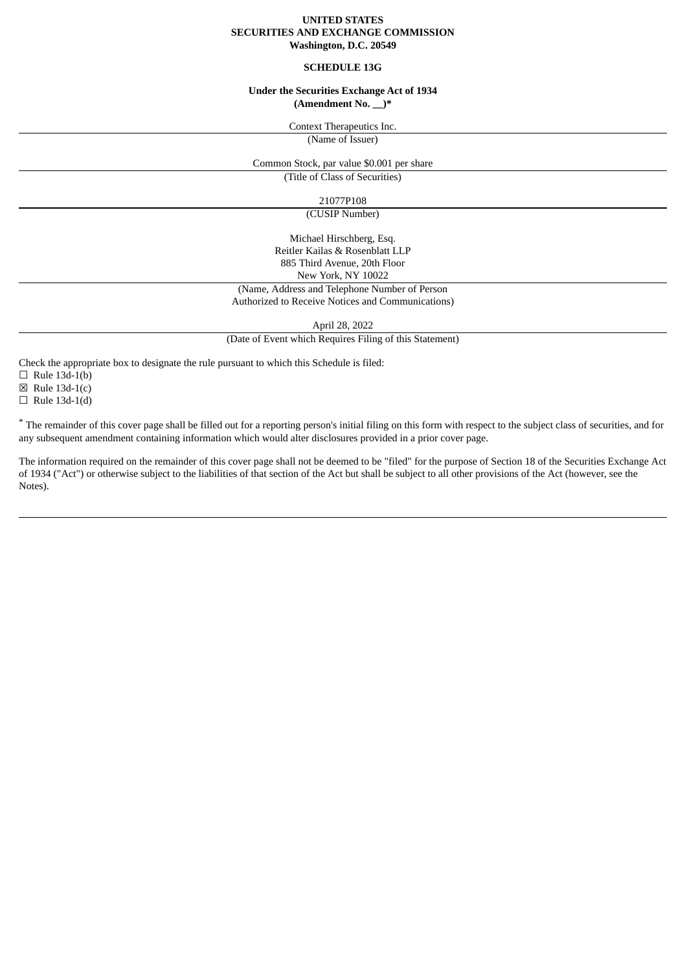### **UNITED STATES SECURITIES AND EXCHANGE COMMISSION Washington, D.C. 20549**

#### **SCHEDULE 13G**

#### **Under the Securities Exchange Act of 1934 (Amendment No. \_\_)\***

Context Therapeutics Inc.

(Name of Issuer)

Common Stock, par value \$0.001 per share (Title of Class of Securities)

21077P108

(CUSIP Number)

Michael Hirschberg, Esq. Reitler Kailas & Rosenblatt LLP 885 Third Avenue, 20th Floor New York, NY 10022 (Name, Address and Telephone Number of Person

# Authorized to Receive Notices and Communications)

April 28, 2022

(Date of Event which Requires Filing of this Statement)

Check the appropriate box to designate the rule pursuant to which this Schedule is filed:

 $\Box$  Rule 13d-1(b)

 $\boxtimes$  Rule 13d-1(c)

 $\Box$  Rule 13d-1(d)

\* The remainder of this cover page shall be filled out for a reporting person's initial filing on this form with respect to the subject class of securities, and for any subsequent amendment containing information which would alter disclosures provided in a prior cover page.

The information required on the remainder of this cover page shall not be deemed to be "filed" for the purpose of Section 18 of the Securities Exchange Act of 1934 ("Act") or otherwise subject to the liabilities of that section of the Act but shall be subject to all other provisions of the Act (however, see the Notes).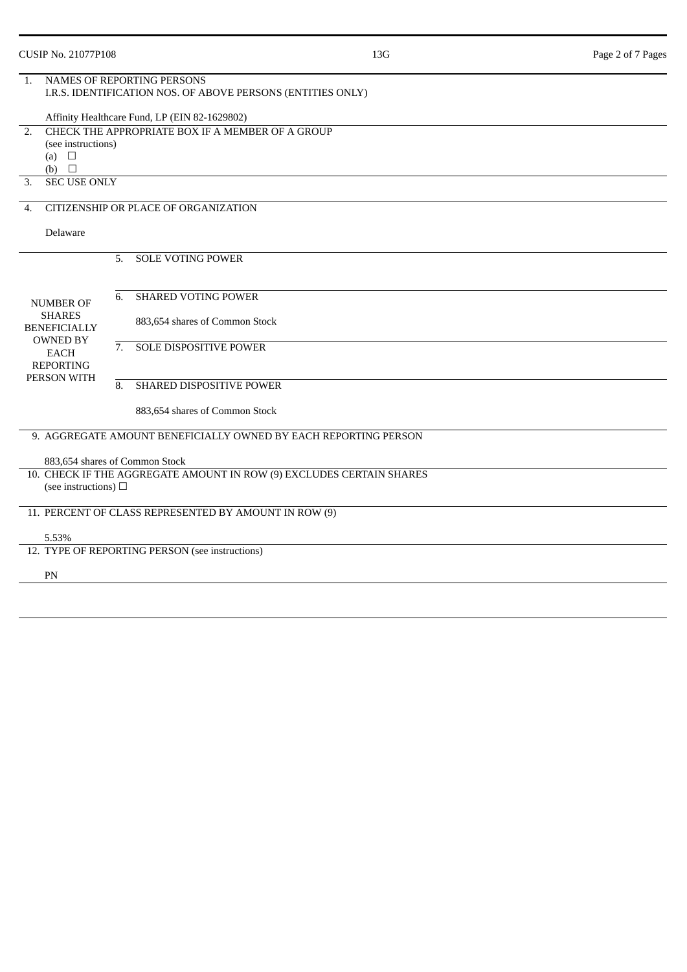| <b>CUSIP No. 21077P108</b>                                                                                                    |                                                                                                  |                                                       | 13G                                                                  | Page 2 of 7 Pages |  |  |  |  |
|-------------------------------------------------------------------------------------------------------------------------------|--------------------------------------------------------------------------------------------------|-------------------------------------------------------|----------------------------------------------------------------------|-------------------|--|--|--|--|
| 1.                                                                                                                            | <b>NAMES OF REPORTING PERSONS</b><br>I.R.S. IDENTIFICATION NOS. OF ABOVE PERSONS (ENTITIES ONLY) |                                                       |                                                                      |                   |  |  |  |  |
|                                                                                                                               |                                                                                                  | Affinity Healthcare Fund, LP (EIN 82-1629802)         |                                                                      |                   |  |  |  |  |
| CHECK THE APPROPRIATE BOX IF A MEMBER OF A GROUP<br>2.                                                                        |                                                                                                  |                                                       |                                                                      |                   |  |  |  |  |
|                                                                                                                               | (see instructions)                                                                               |                                                       |                                                                      |                   |  |  |  |  |
| (a) $\square$<br>(b)<br>$\Box$                                                                                                |                                                                                                  |                                                       |                                                                      |                   |  |  |  |  |
| <b>SEC USE ONLY</b><br>3.                                                                                                     |                                                                                                  |                                                       |                                                                      |                   |  |  |  |  |
| 4.                                                                                                                            | CITIZENSHIP OR PLACE OF ORGANIZATION                                                             |                                                       |                                                                      |                   |  |  |  |  |
| Delaware                                                                                                                      |                                                                                                  |                                                       |                                                                      |                   |  |  |  |  |
|                                                                                                                               | 5.                                                                                               | <b>SOLE VOTING POWER</b>                              |                                                                      |                   |  |  |  |  |
|                                                                                                                               |                                                                                                  |                                                       |                                                                      |                   |  |  |  |  |
| <b>NUMBER OF</b><br><b>SHARES</b><br><b>BENEFICIALLY</b><br><b>OWNED BY</b><br><b>EACH</b><br><b>REPORTING</b><br>PERSON WITH | 6.                                                                                               | <b>SHARED VOTING POWER</b>                            |                                                                      |                   |  |  |  |  |
|                                                                                                                               |                                                                                                  | 883,654 shares of Common Stock                        |                                                                      |                   |  |  |  |  |
|                                                                                                                               | 7.                                                                                               | SOLE DISPOSITIVE POWER                                |                                                                      |                   |  |  |  |  |
|                                                                                                                               | 8.                                                                                               | SHARED DISPOSITIVE POWER                              |                                                                      |                   |  |  |  |  |
|                                                                                                                               |                                                                                                  | 883,654 shares of Common Stock                        |                                                                      |                   |  |  |  |  |
|                                                                                                                               |                                                                                                  |                                                       |                                                                      |                   |  |  |  |  |
|                                                                                                                               |                                                                                                  |                                                       | 9. AGGREGATE AMOUNT BENEFICIALLY OWNED BY EACH REPORTING PERSON      |                   |  |  |  |  |
| 883,654 shares of Common Stock                                                                                                |                                                                                                  |                                                       |                                                                      |                   |  |  |  |  |
|                                                                                                                               |                                                                                                  |                                                       | 10. CHECK IF THE AGGREGATE AMOUNT IN ROW (9) EXCLUDES CERTAIN SHARES |                   |  |  |  |  |
| (see instructions) $\Box$                                                                                                     |                                                                                                  |                                                       |                                                                      |                   |  |  |  |  |
|                                                                                                                               |                                                                                                  | 11. PERCENT OF CLASS REPRESENTED BY AMOUNT IN ROW (9) |                                                                      |                   |  |  |  |  |
| 5.53%                                                                                                                         |                                                                                                  |                                                       |                                                                      |                   |  |  |  |  |
|                                                                                                                               |                                                                                                  | 12. TYPE OF REPORTING PERSON (see instructions)       |                                                                      |                   |  |  |  |  |
| PN                                                                                                                            |                                                                                                  |                                                       |                                                                      |                   |  |  |  |  |
|                                                                                                                               |                                                                                                  |                                                       |                                                                      |                   |  |  |  |  |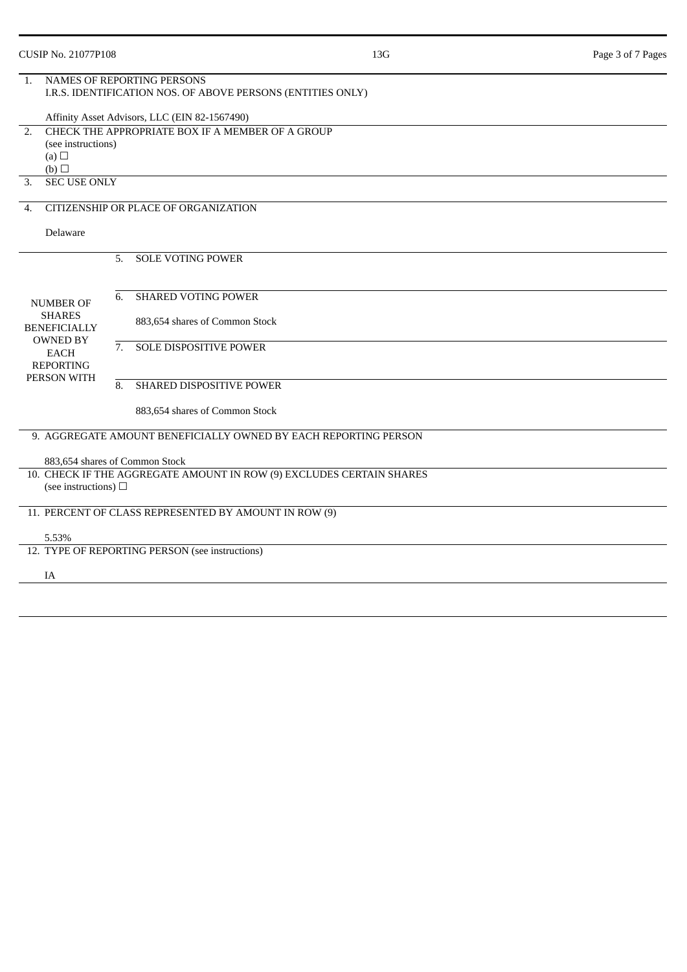| <b>CUSIP No. 21077P108</b>                                                                 |                                                                                                  | 13G                                                                  | Page 3 of 7 Pages |  |  |  |  |
|--------------------------------------------------------------------------------------------|--------------------------------------------------------------------------------------------------|----------------------------------------------------------------------|-------------------|--|--|--|--|
| $\mathbf{1}$ .                                                                             | <b>NAMES OF REPORTING PERSONS</b><br>I.R.S. IDENTIFICATION NOS. OF ABOVE PERSONS (ENTITIES ONLY) |                                                                      |                   |  |  |  |  |
|                                                                                            | Affinity Asset Advisors, LLC (EIN 82-1567490)                                                    |                                                                      |                   |  |  |  |  |
| 2.                                                                                         | CHECK THE APPROPRIATE BOX IF A MEMBER OF A GROUP.                                                |                                                                      |                   |  |  |  |  |
|                                                                                            | (see instructions)                                                                               |                                                                      |                   |  |  |  |  |
| (a) $\Box$<br>(b)                                                                          |                                                                                                  |                                                                      |                   |  |  |  |  |
| <b>SEC USE ONLY</b><br>3.                                                                  |                                                                                                  |                                                                      |                   |  |  |  |  |
|                                                                                            | CITIZENSHIP OR PLACE OF ORGANIZATION                                                             |                                                                      |                   |  |  |  |  |
| 4.                                                                                         |                                                                                                  |                                                                      |                   |  |  |  |  |
| Delaware                                                                                   |                                                                                                  |                                                                      |                   |  |  |  |  |
| <b>NUMBER OF</b><br><b>SHARES</b><br><b>BENEFICIALLY</b><br><b>OWNED BY</b><br><b>EACH</b> | <b>SOLE VOTING POWER</b><br>5.                                                                   |                                                                      |                   |  |  |  |  |
|                                                                                            |                                                                                                  |                                                                      |                   |  |  |  |  |
|                                                                                            | <b>SHARED VOTING POWER</b><br>6.                                                                 |                                                                      |                   |  |  |  |  |
|                                                                                            | 883,654 shares of Common Stock                                                                   |                                                                      |                   |  |  |  |  |
|                                                                                            |                                                                                                  |                                                                      |                   |  |  |  |  |
|                                                                                            | <b>SOLE DISPOSITIVE POWER</b><br>7.                                                              |                                                                      |                   |  |  |  |  |
| <b>REPORTING</b>                                                                           |                                                                                                  |                                                                      |                   |  |  |  |  |
| PERSON WITH                                                                                | 8.<br>SHARED DISPOSITIVE POWER                                                                   |                                                                      |                   |  |  |  |  |
|                                                                                            | 883,654 shares of Common Stock                                                                   |                                                                      |                   |  |  |  |  |
|                                                                                            |                                                                                                  |                                                                      |                   |  |  |  |  |
|                                                                                            |                                                                                                  | 9. AGGREGATE AMOUNT BENEFICIALLY OWNED BY EACH REPORTING PERSON      |                   |  |  |  |  |
|                                                                                            | 883,654 shares of Common Stock                                                                   |                                                                      |                   |  |  |  |  |
|                                                                                            |                                                                                                  | 10. CHECK IF THE AGGREGATE AMOUNT IN ROW (9) EXCLUDES CERTAIN SHARES |                   |  |  |  |  |
| (see instructions) $\Box$                                                                  |                                                                                                  |                                                                      |                   |  |  |  |  |
|                                                                                            | 11. PERCENT OF CLASS REPRESENTED BY AMOUNT IN ROW (9)                                            |                                                                      |                   |  |  |  |  |
|                                                                                            |                                                                                                  |                                                                      |                   |  |  |  |  |
| 5.53%                                                                                      |                                                                                                  |                                                                      |                   |  |  |  |  |
|                                                                                            | 12. TYPE OF REPORTING PERSON (see instructions)                                                  |                                                                      |                   |  |  |  |  |
| IA                                                                                         |                                                                                                  |                                                                      |                   |  |  |  |  |
|                                                                                            |                                                                                                  |                                                                      |                   |  |  |  |  |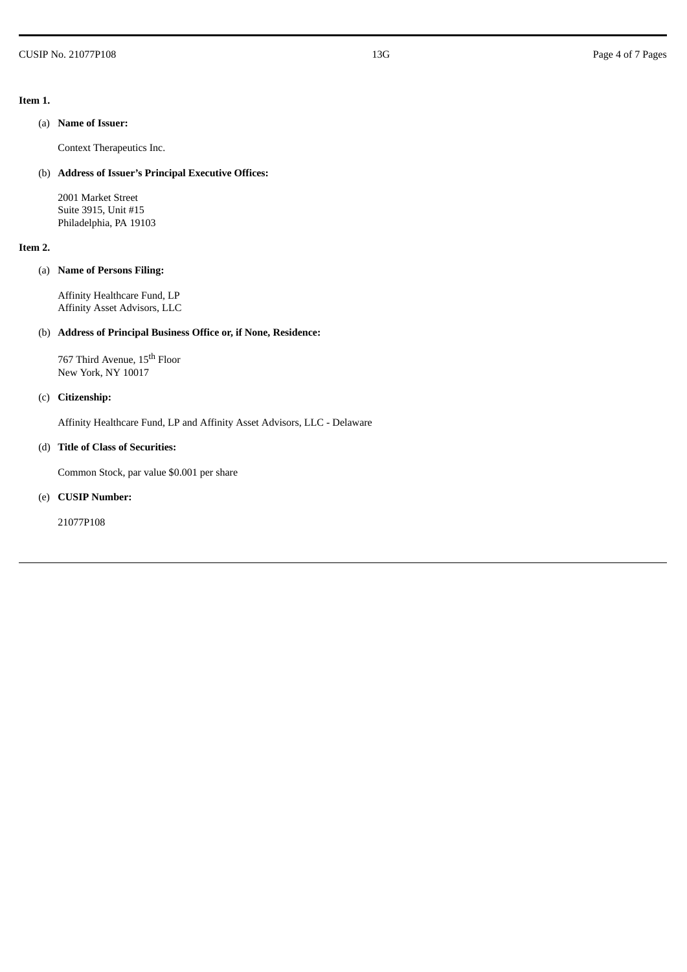#### **Item 1.**

### (a) **Name of Issuer:**

Context Therapeutics Inc.

## (b) **Address of Issuer's Principal Executive Offices:**

2001 Market Street Suite 3915, Unit #15 Philadelphia, PA 19103

### **Item 2.**

## (a) **Name of Persons Filing:**

Affinity Healthcare Fund, LP Affinity Asset Advisors, LLC

## (b) **Address of Principal Business Office or, if None, Residence:**

767 Third Avenue, 15<sup>th</sup> Floor New York, NY 10017

## (c) **Citizenship:**

Affinity Healthcare Fund, LP and Affinity Asset Advisors, LLC - Delaware

## (d) **Title of Class of Securities:**

Common Stock, par value \$0.001 per share

### (e) **CUSIP Number:**

21077P108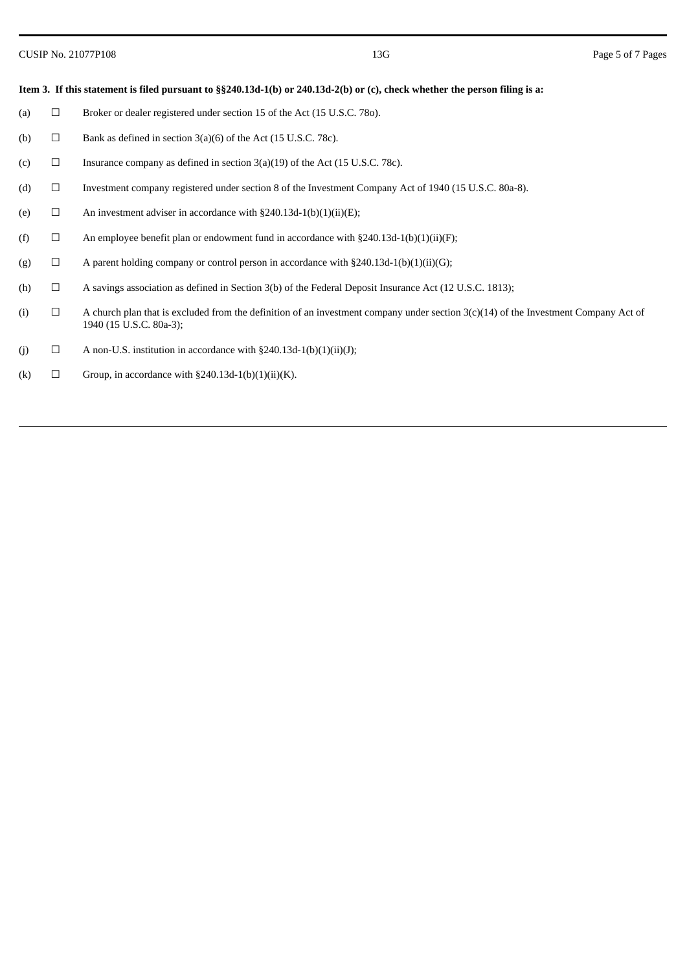### Item 3. If this statement is filed pursuant to §§240.13d-1(b) or 240.13d-2(b) or (c), check whether the person filing is a:

- (a)  $\Box$  Broker or dealer registered under section 15 of the Act (15 U.S.C. 780).
- (b)  $\Box$  Bank as defined in section 3(a)(6) of the Act (15 U.S.C. 78c).
- (c)  $\Box$  Insurance company as defined in section 3(a)(19) of the Act (15 U.S.C. 78c).
- (d) ☐ Investment company registered under section 8 of the Investment Company Act of 1940 (15 U.S.C. 80a-8).
- (e)  $\Box$  An investment adviser in accordance with §240.13d-1(b)(1)(ii)(E);
- (f)  $\Box$  An employee benefit plan or endowment fund in accordance with §240.13d-1(b)(1)(ii)(F);
- (g)  $\Box$  A parent holding company or control person in accordance with §240.13d-1(b)(1)(ii)(G);
- (h)  $\Box$  A savings association as defined in Section 3(b) of the Federal Deposit Insurance Act (12 U.S.C. 1813);
- (i)  $□$  A church plan that is excluded from the definition of an investment company under section  $3(c)(14)$  of the Investment Company Act of 1940 (15 U.S.C. 80a-3);
- (j)  $\Box$  A non-U.S. institution in accordance with §240.13d-1(b)(1)(ii)(J);
- (k)  $\Box$  Group, in accordance with §240.13d-1(b)(1)(ii)(K).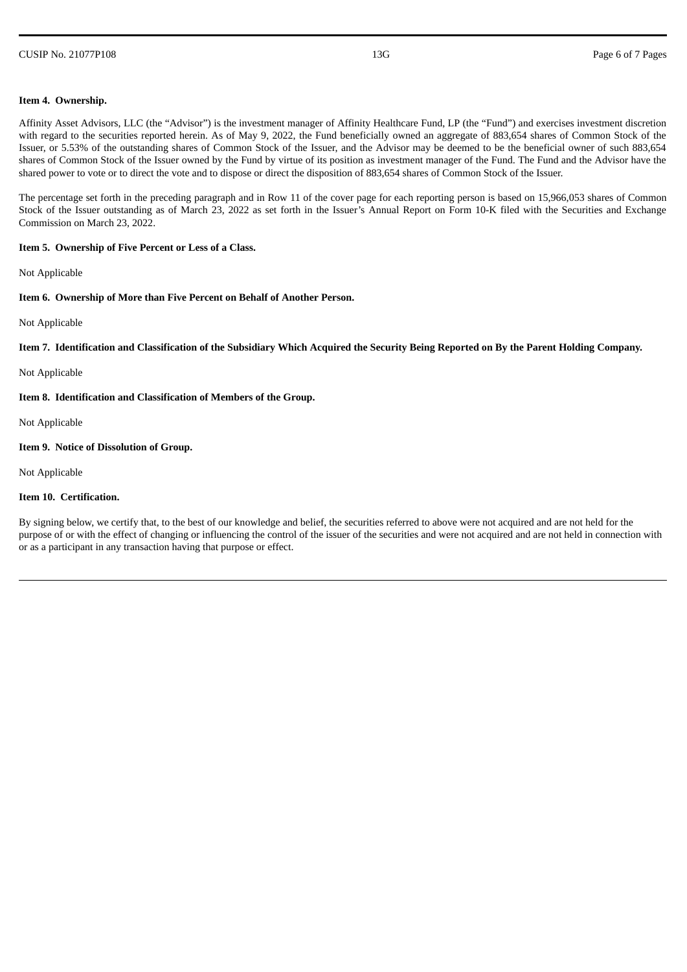#### CUSIP No. 21077P108 **Page 6 of 7 Pages** Page 6 of 7 Pages

#### **Item 4. Ownership.**

Affinity Asset Advisors, LLC (the "Advisor") is the investment manager of Affinity Healthcare Fund, LP (the "Fund") and exercises investment discretion with regard to the securities reported herein. As of May 9, 2022, the Fund beneficially owned an aggregate of 883,654 shares of Common Stock of the Issuer, or 5.53% of the outstanding shares of Common Stock of the Issuer, and the Advisor may be deemed to be the beneficial owner of such 883,654 shares of Common Stock of the Issuer owned by the Fund by virtue of its position as investment manager of the Fund. The Fund and the Advisor have the shared power to vote or to direct the vote and to dispose or direct the disposition of 883,654 shares of Common Stock of the Issuer.

The percentage set forth in the preceding paragraph and in Row 11 of the cover page for each reporting person is based on 15,966,053 shares of Common Stock of the Issuer outstanding as of March 23, 2022 as set forth in the Issuer's Annual Report on Form 10-K filed with the Securities and Exchange Commission on March 23, 2022.

#### **Item 5. Ownership of Five Percent or Less of a Class.**

Not Applicable

### **Item 6. Ownership of More than Five Percent on Behalf of Another Person.**

Not Applicable

Item 7. Identification and Classification of the Subsidiary Which Acquired the Security Being Reported on By the Parent Holding Company.

Not Applicable

**Item 8. Identification and Classification of Members of the Group.**

Not Applicable

### **Item 9. Notice of Dissolution of Group.**

Not Applicable

#### **Item 10. Certification.**

By signing below, we certify that, to the best of our knowledge and belief, the securities referred to above were not acquired and are not held for the purpose of or with the effect of changing or influencing the control of the issuer of the securities and were not acquired and are not held in connection with or as a participant in any transaction having that purpose or effect.